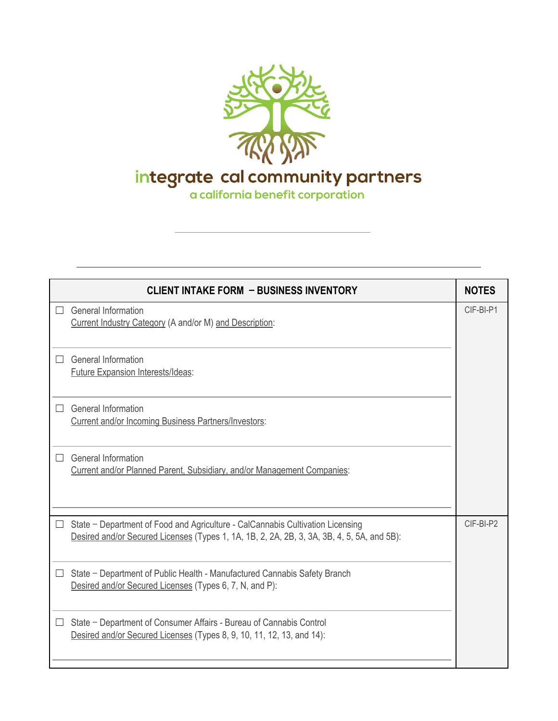

integrate cal community partners<br>a california benefit corporation

|        | <b>CLIENT INTAKE FORM - BUSINESS INVENTORY</b>                                                                                                                               | <b>NOTES</b> |
|--------|------------------------------------------------------------------------------------------------------------------------------------------------------------------------------|--------------|
|        | General Information<br>Current Industry Category (A and/or M) and Description:                                                                                               | CIF-BI-P1    |
| $\Box$ | <b>General Information</b><br><b>Future Expansion Interests/Ideas:</b>                                                                                                       |              |
|        | <b>General Information</b><br>Current and/or Incoming Business Partners/Investors:                                                                                           |              |
| $\Box$ | <b>General Information</b><br>Current and/or Planned Parent, Subsidiary, and/or Management Companies:                                                                        |              |
| $\Box$ | State - Department of Food and Agriculture - CalCannabis Cultivation Licensing<br>Desired and/or Secured Licenses (Types 1, 1A, 1B, 2, 2A, 2B, 3, 3A, 3B, 4, 5, 5A, and 5B): | CIF-BI-P2    |
| ⊔      | State - Department of Public Health - Manufactured Cannabis Safety Branch<br>Desired and/or Secured Licenses (Types 6, 7, N, and P):                                         |              |
| $\Box$ | State - Department of Consumer Affairs - Bureau of Cannabis Control<br>Desired and/or Secured Licenses (Types 8, 9, 10, 11, 12, 13, and 14):                                 |              |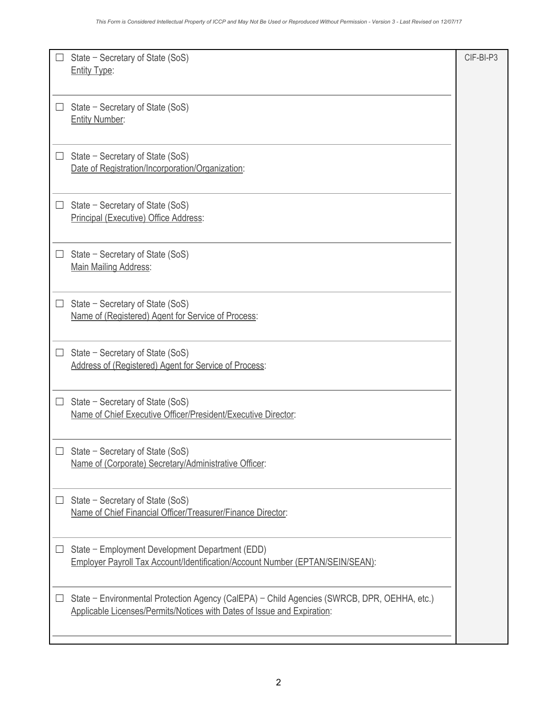|          | State - Secretary of State (SoS)<br><b>Entity Type:</b>                                                                                                                | CIF-BI-P3 |
|----------|------------------------------------------------------------------------------------------------------------------------------------------------------------------------|-----------|
|          |                                                                                                                                                                        |           |
|          | State - Secretary of State (SoS)<br><b>Entity Number:</b>                                                                                                              |           |
| $\Box$   | State - Secretary of State (SoS)<br>Date of Registration/Incorporation/Organization:                                                                                   |           |
|          | State - Secretary of State (SoS)<br>Principal (Executive) Office Address:                                                                                              |           |
| $\Box$   | State - Secretary of State (SoS)<br>Main Mailing Address:                                                                                                              |           |
|          | State - Secretary of State (SoS)<br>Name of (Registered) Agent for Service of Process:                                                                                 |           |
| $\Box$   | State - Secretary of State (SoS)<br>Address of (Registered) Agent for Service of Process:                                                                              |           |
|          | State - Secretary of State (SoS)<br>Name of Chief Executive Officer/President/Executive Director:                                                                      |           |
|          | State – Secretary of State (SoS)<br>Name of (Corporate) Secretary/Administrative Officer:                                                                              |           |
| $\sqcup$ | State - Secretary of State (SoS)<br>Name of Chief Financial Officer/Treasurer/Finance Director:                                                                        |           |
|          | State - Employment Development Department (EDD)<br>Employer Payroll Tax Account/Identification/Account Number (EPTAN/SEIN/SEAN):                                       |           |
| $\Box$   | State - Environmental Protection Agency (CalEPA) - Child Agencies (SWRCB, DPR, OEHHA, etc.)<br>Applicable Licenses/Permits/Notices with Dates of Issue and Expiration: |           |
|          |                                                                                                                                                                        |           |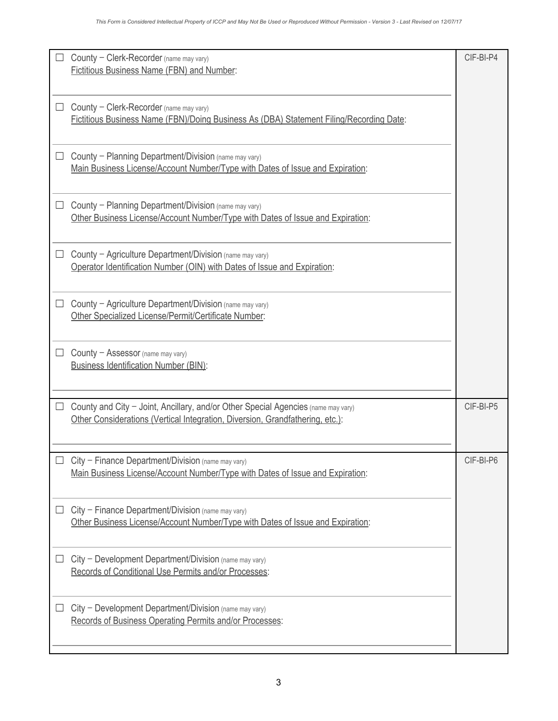| $\Box$ | County - Clerk-Recorder (name may vary)                                                                                                                            | CIF-BI-P4 |
|--------|--------------------------------------------------------------------------------------------------------------------------------------------------------------------|-----------|
|        | <b>Fictitious Business Name (FBN) and Number:</b>                                                                                                                  |           |
|        | County - Clerk-Recorder (name may vary)<br>Fictitious Business Name (FBN)/Doing Business As (DBA) Statement Filing/Recording Date:                                 |           |
| $\Box$ | County - Planning Department/Division (name may vary)<br>Main Business License/Account Number/Type with Dates of Issue and Expiration:                             |           |
|        | County - Planning Department/Division (name may vary)<br>Other Business License/Account Number/Type with Dates of Issue and Expiration:                            |           |
| ⊔      | County - Agriculture Department/Division (name may vary)<br>Operator Identification Number (OIN) with Dates of Issue and Expiration:                               |           |
| $\Box$ | County - Agriculture Department/Division (name may vary)<br>Other Specialized License/Permit/Certificate Number:                                                   |           |
| $\Box$ | County - Assessor (name may vary)<br><b>Business Identification Number (BIN):</b>                                                                                  |           |
| $\Box$ | County and City - Joint, Ancillary, and/or Other Special Agencies (name may vary)<br>Other Considerations (Vertical Integration, Diversion, Grandfathering, etc.): | CIF-BI-P5 |
|        | $City$ – Finance Department/Division (name may vary)<br>Main Business License/Account Number/Type with Dates of Issue and Expiration:                              | CIF-BI-P6 |
| $\Box$ | City - Finance Department/Division (name may vary)<br>Other Business License/Account Number/Type with Dates of Issue and Expiration:                               |           |
|        | $City$ – Development Department/Division (name may vary)<br>Records of Conditional Use Permits and/or Processes:                                                   |           |
| $\Box$ | City - Development Department/Division (name may vary)<br>Records of Business Operating Permits and/or Processes:                                                  |           |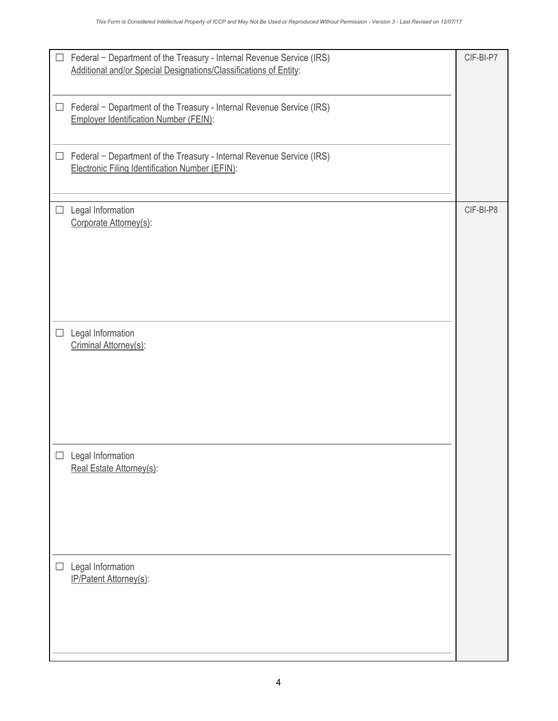| $\Box$ | Federal - Department of the Treasury - Internal Revenue Service (IRS)<br>Additional and/or Special Designations/Classifications of Entity: | CIF-BI-P7 |
|--------|--------------------------------------------------------------------------------------------------------------------------------------------|-----------|
| $\Box$ | Federal - Department of the Treasury - Internal Revenue Service (IRS)<br><b>Employer Identification Number (FEIN):</b>                     |           |
| $\Box$ | Federal - Department of the Treasury - Internal Revenue Service (IRS)<br>Electronic Filing Identification Number (EFIN):                   |           |
| $\Box$ | Legal Information<br>Corporate Attorney(s):                                                                                                | CIF-BI-P8 |
| $\Box$ | Legal Information<br>Criminal Attorney(s):                                                                                                 |           |
| $\Box$ | Legal Information<br>Real Estate Attorney(s):                                                                                              |           |
| $\Box$ | Legal Information<br>IP/Patent Attorney(s):                                                                                                |           |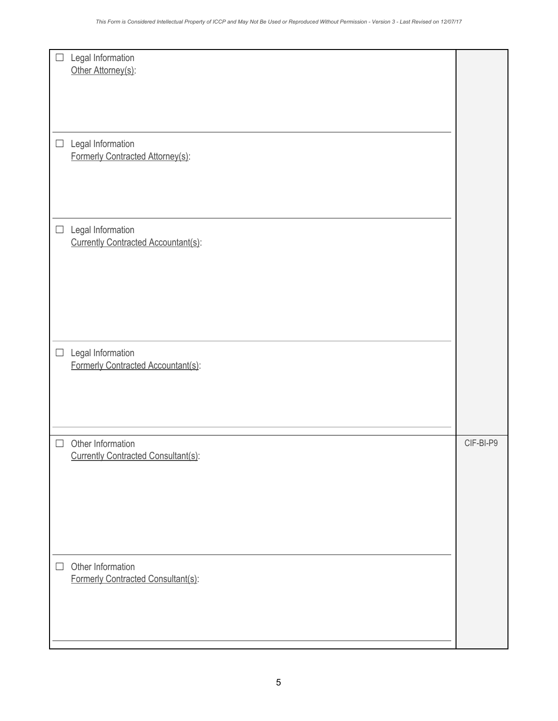| Legal Information<br>$\Box$<br>Other Attorney(s):                  |           |
|--------------------------------------------------------------------|-----------|
| Legal Information<br>$\Box$<br>Formerly Contracted Attorney(s):    |           |
| Legal Information<br>$\Box$<br>Currently Contracted Accountant(s): |           |
| Legal Information<br>$\Box$<br>Formerly Contracted Accountant(s):  |           |
| Other Information<br>$\Box$<br>Currently Contracted Consultant(s): | CIF-BI-P9 |
| Other Information<br>$\Box$<br>Formerly Contracted Consultant(s):  |           |